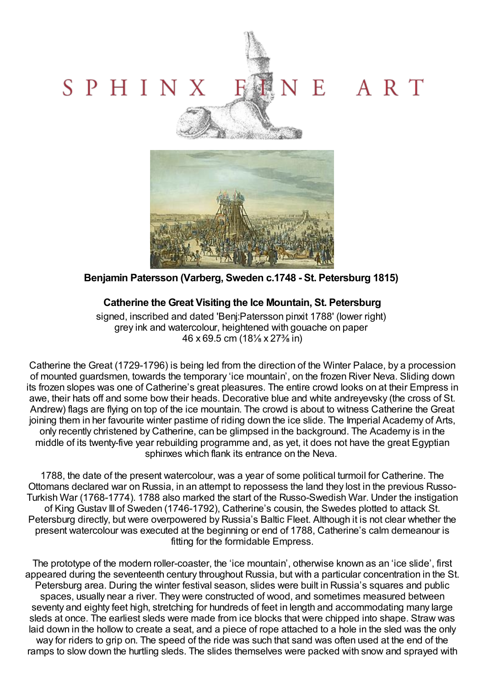## NE ART SPHINX Satisfactory &



**Benjamin Patersson (Varberg, Sweden c.1748 - St. Petersburg 1815)**

## **Catherine the Great Visiting the Ice Mountain, St. Petersburg**

signed, inscribed and dated 'Benj:Patersson pinxit 1788' (lower right) grey ink and watercolour, heightened with gouache on paper 46 x 69.5 cm (18⅛ x 27⅜ in)

Catherine the Great (1729-1796) is being led from the direction of the Winter Palace, by a procession of mounted guardsmen, towards the temporary 'ice mountain', on the frozen River Neva. Sliding down its frozen slopes was one of Catherine's great pleasures. The entire crowd looks on at their Empress in awe, their hats off and some bow their heads. Decorative blue and white andreyevsky (the cross of St. Andrew) flags are flying on top of the ice mountain. The crowd is about to witness Catherine the Great joining them in her favourite winter pastime of riding down the ice slide. The Imperial Academy of Arts, only recently christened by Catherine, can be glimpsed in the background. The Academy is in the middle of its twenty-five year rebuilding programme and, as yet, it does not have the great Egyptian sphinxes which flank its entrance on the Neva.

1788, the date of the present watercolour, was a year of some political turmoil for Catherine. The Ottomans declared war on Russia, in an attempt to repossess the land they lost in the previous Russo-Turkish War (1768-1774). 1788 also marked the start of the Russo-Swedish War. Under the instigation of King Gustav III of Sweden (1746-1792), Catherine's cousin, the Swedes plotted to attack St. Petersburg directly, but were overpowered by Russia's Baltic Fleet. Although it is not clear whether the present watercolour was executed at the beginning or end of 1788, Catherine's calm demeanour is fitting for the formidable Empress.

The prototype of the modern roller-coaster, the 'ice mountain', otherwise known as an 'ice slide', first appeared during the seventeenth century throughout Russia, but with a particular concentration in the St. Petersburg area. During the winter festival season, slides were built in Russia's squares and public spaces, usually near a river. They were constructed of wood, and sometimes measured between seventy and eighty feet high, stretching for hundreds of feet in length and accommodating many large sleds at once. The earliest sleds were made from ice blocks that were chipped into shape. Straw was laid down in the hollow to create a seat, and a piece of rope attached to a hole in the sled was the only way for riders to grip on. The speed of the ride was such that sand was often used at the end of the ramps to slow down the hurtling sleds. The slides themselves were packed with snow and sprayed with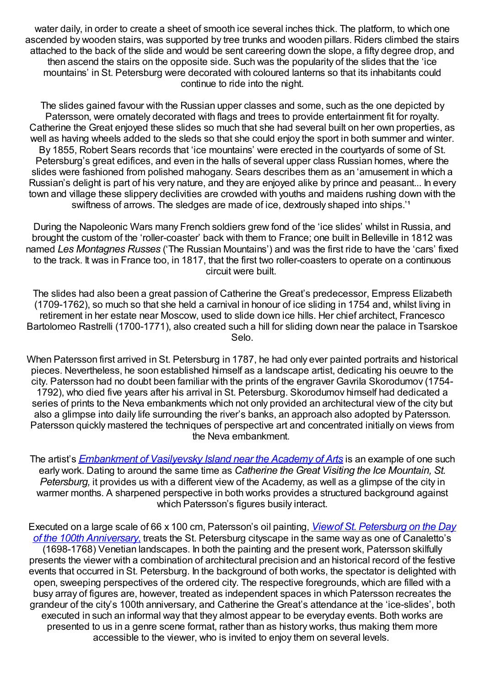water daily, in order to create a sheet of smooth ice several inches thick. The platform, to which one ascended by wooden stairs, was supported by tree trunks and wooden pillars. Riders climbed the stairs attached to the back of the slide and would be sent careering down the slope, a fifty degree drop, and then ascend the stairs on the opposite side. Such was the popularity of the slides that the 'ice mountains' in St. Petersburg were decorated with coloured lanterns so that its inhabitants could continue to ride into the night.

The slides gained favour with the Russian upper classes and some, such as the one depicted by Patersson, were ornately decorated with flags and trees to provide entertainment fit for royalty. Catherine the Great enjoyed these slides so much that she had several built on her own properties, as well as having wheels added to the sleds so that she could enjoy the sport in both summer and winter. By 1855, Robert Sears records that 'ice mountains' were erected in the courtyards of some of St. Petersburg's great edifices, and even in the halls of several upper class Russian homes, where the slides were fashioned from polished mahogany. Sears describes them as an 'amusement in which a Russian's delight is part of his very nature, and they are enjoyed alike by prince and peasant... In every town and village these slippery declivities are crowded with youths and maidens rushing down with the swiftness of arrows. The sledges are made of ice, dextrously shaped into ships.<sup>11</sup>

During the Napoleonic Wars many French soldiers grew fond of the 'ice slides' whilst in Russia, and brought the custom of the 'roller-coaster' back with them to France; one built in Belleville in 1812 was named *Les Montagnes Russes* ('The Russian Mountains') and was the first ride to have the 'cars' fixed to the track. It was in France too, in 1817, that the first two roller-coasters to operate on a continuous circuit were built.

The slides had also been a great passion of Catherine the Great's predecessor, Empress Elizabeth (1709-1762), so much so that she held a carnival in honour of ice sliding in 1754 and, whilst living in retirement in her estate near Moscow, used to slide down ice hills. Her chief architect, Francesco Bartolomeo Rastrelli (1700-1771), also created such a hill for sliding down near the palace in Tsarskoe Selo.

When Patersson first arrived in St. Petersburg in 1787, he had only ever painted portraits and historical pieces. Nevertheless, he soon established himself as a landscape artist, dedicating his oeuvre to the city. Patersson had no doubt been familiar with the prints of the engraver Gavrila Skorodumov (1754- 1792), who died five years after his arrival in St. Petersburg. Skorodumov himself had dedicated a series of prints to the Neva embankments which not only provided an architectural view of the city but also a glimpse into daily life surrounding the river's banks, an approach also adopted by Patersson. Patersson quickly mastered the techniques of perspective art and concentrated initially on views from the Neva embankment.

The artist's *[Embankment](http://www.hermitagemuseum.org/fcgi-bin/db2www/descrPage.mac/descrPage?selLang=English&indexClass=PICTURE_EN&Query_Exp=%28WOA_TYPE+%3D%3D+%22Painting%22%29+AND+%28WOA_AUTHOR+%3D%3D+%22Paterssen%2C+Benjamin%22%29&PID=JRX-1901&numView=1&ID_NUM=1&thumbFile=%2Ftmplobs%2FBAN62LRTO_23R82TCZ6.jpg&embViewVer=last&comeFrom=browse&check=false&sorting=WOA_AUTHOR^WOA_NAME&thumbId=6&numResults=9&author=Paterssen%2C%26%2332%3BBenjamin) of Vasilyevsky Island near the Academy of Arts* is an example of one such early work. Dating to around the same time as *Catherine the Great Visiting the Ice Mountain, St. Petersburg,* it provides us with a different view of the Academy, as well as a glimpse of the city in warmer months. A sharpened perspective in both works provides a structured background against which Patersson's figures busily interact.

Executed on a large scale of 66 x 100 cm, Patersson's oil painting, *Viewof St. Petersburg on the Day of the 100th [Anniversary,](http://www.hermitagemuseum.org/fcgi-bin/db2www/descrPage.mac/descrPage?selLang=English&indexClass=PICTURE_EN&Query_Exp=%28WOA_TYPE+%3D%3D+%22Painting%22%29+AND+%28WOA_AUTHOR+%3D%3D+%22Paterssen%2C+Benjamin%22%29&PID=JRX-1677&numView=1&ID_NUM=6&thumbFile=%2Ftmplobs%2FB2362LOBN10E%242GO6.jpg&embViewVer=last&comeFrom=browse&check=false&sorting=WOA_AUTHOR^WOA_NAME&thumbId=6&numResults=9&author=Paterssen%2C%26%2332%3BBenjamin)* treats the St. Petersburg cityscape in the same way as one of Canaletto's (1698-1768) Venetian landscapes. In both the painting and the present work, Patersson skilfully presents the viewer with a combination of architectural precision and an historical record of the festive events that occurred in St. Petersburg. In the background of both works, the spectator is delighted with open, sweeping perspectives of the ordered city. The respective foregrounds, which are filled with a busy array of figures are, however, treated as independent spaces in which Patersson recreates the grandeur of the city's 100th anniversary, and Catherine the Great's attendance at the 'ice-slides', both executed in such an informal way that they almost appear to be everyday events. Both works are presented to us in a genre scene format, rather than as history works, thus making them more accessible to the viewer, who is invited to enjoy them on several levels.